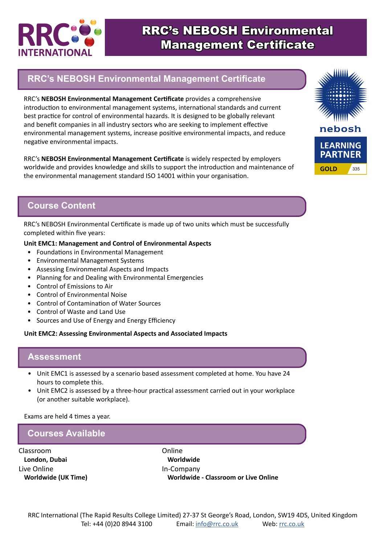

# RRC's NEBOSH Environmental Management Certificate

# **RRC's NEBOSH Environmental Management Certificate**

RRC's **NEBOSH Environmental Management Certificate** provides a comprehensive introduction to environmental management systems, international standards and current best practice for control of environmental hazards. It is designed to be globally relevant and benefit companies in all industry sectors who are seeking to implement effective environmental management systems, increase positive environmental impacts, and reduce negative environmental impacts.

RRC's **NEBOSH Environmental Management Certificate** is widely respected by employers worldwide and provides knowledge and skills to support the introduction and maintenance of the environmental management standard ISO 14001 within your organisation.



## **Course Content**

RRC's NEBOSH Environmental Certificate is made up of two units which must be successfully completed within five years:

#### **Unit EMC1: Management and Control of Environmental Aspects**

- Foundations in Environmental Management
- Environmental Management Systems
- Assessing Environmental Aspects and Impacts
- Planning for and Dealing with Environmental Emergencies
- Control of Emissions to Air
- Control of Environmental Noise
- Control of Contamination of Water Sources
- Control of Waste and Land Use
- Sources and Use of Energy and Energy Efficiency

#### **Unit EMC2: Assessing Environmental Aspects and Associated Impacts**

#### **Assessment**

- Unit EMC1 is assessed by a scenario based assessment completed at home. You have 24 hours to complete this.
- Unit EMC2 is assessed by a three-hour practical assessment carried out in your workplace (or another suitable workplace).

Exams are held 4 times a year.

#### **Courses Available**

Classroom **London, Dubai** Live Online **Worldwide (UK Time)** Online **Worldwide** In-Company **Worldwide - Classroom or Live Online**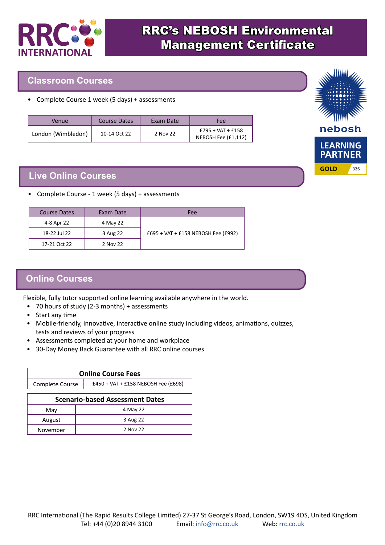

#### **Classroom Courses**

• Complete Course 1 week (5 days) + assessments

| Venue              | <b>Course Dates</b> | Exam Date | Fee                                        |
|--------------------|---------------------|-----------|--------------------------------------------|
| London (Wimbledon) | 10-14 Oct 22        | 2 Nov 22  | $£795 + VAT + £158$<br>NEBOSH Fee (£1,112) |

## **Live Online Courses**

• Complete Course - 1 week (5 days) + assessments

| <b>Course Dates</b> | Exam Date | Fee                                 |
|---------------------|-----------|-------------------------------------|
| 4-8 Apr 22          | 4 May 22  |                                     |
| 18-22 Jul 22        | 3 Aug 22  | £695 + VAT + £158 NEBOSH Fee (£992) |
| 17-21 Oct 22        | 2 Nov 22  |                                     |

# **Online Courses**

Flexible, fully tutor supported online learning available anywhere in the world.

- 70 hours of study (2-3 months) + assessments
- Start any time
- Mobile-friendly, innovative, interactive online study including videos, animations, quizzes, tests and reviews of your progress
- Assessments completed at your home and workplace
- 30-Day Money Back Guarantee with all RRC online courses

| <b>Online Course Fees</b>              |                                     |  |  |  |  |
|----------------------------------------|-------------------------------------|--|--|--|--|
| Complete Course                        | £450 + VAT + £158 NEBOSH Fee (£698) |  |  |  |  |
| <b>Scenario-based Assessment Dates</b> |                                     |  |  |  |  |
| May                                    | 4 May 22                            |  |  |  |  |
| August                                 | 3 Aug 22                            |  |  |  |  |
| November                               | 2 Nov 22                            |  |  |  |  |